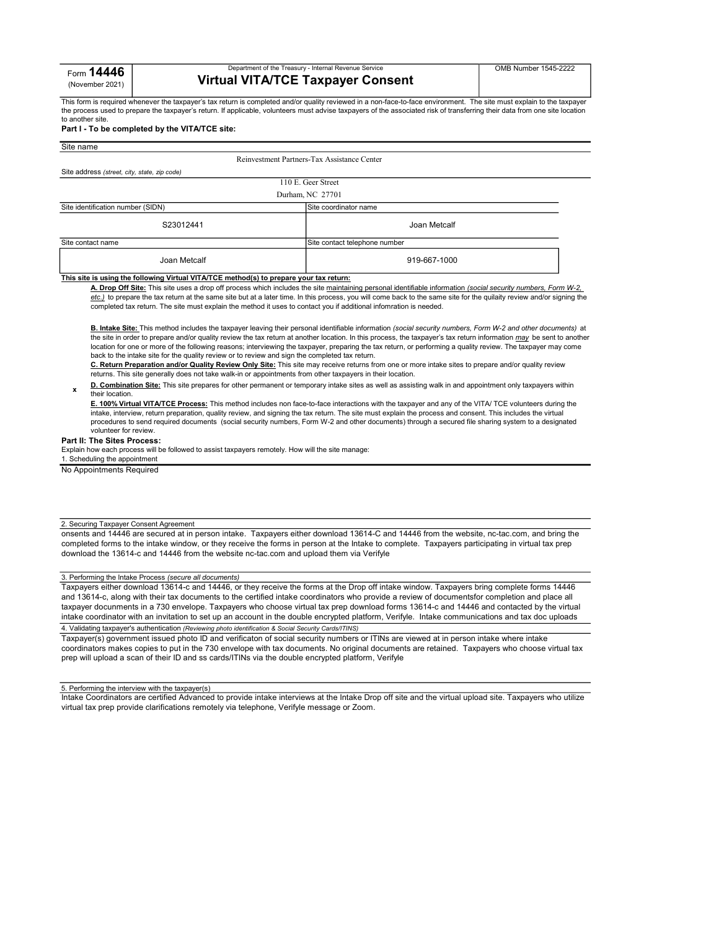# Department of the Treasury - Internal Revenue Service Virtual VITA/TCE Taxpayer Consent

This form is required whenever the taxpayer's tax return is completed and/or quality reviewed in a non-face-to-face environment. The site must explain to the taxpayer the process used to prepare the taxpayer's return. If applicable, volunteers must advise taxpayers of the associated risk of transferring their data from one site location to another site.

## Part I - To be completed by the VITA/TCE site:

| Site name                                                                                  |                                             |
|--------------------------------------------------------------------------------------------|---------------------------------------------|
|                                                                                            | Reinvestment Partners-Tax Assistance Center |
| Site address (street, city, state, zip code)                                               |                                             |
|                                                                                            | 110 E. Geer Street                          |
|                                                                                            | Durham, NC 27701                            |
| Site identification number (SIDN)                                                          | Site coordinator name                       |
| S23012441                                                                                  | Joan Metcalf                                |
| Site contact name<br>Site contact telephone number                                         |                                             |
| Joan Metcalf                                                                               | 919-667-1000                                |
| This alte is uning the following Vistual VITAITOF motheral(a) to propose your toy returns: |                                             |

#### <u>This site is using the following Virtual VITA/TCE method(s) to prepare your tax return:</u>

A. Drop Off Site: This site uses a drop off process which includes the site maintaining personal identifiable information (social security numbers, Form W-2, etc.) to prepare the tax return at the same site but at a later time. In this process, you will come back to the same site for the quilaity review and/or signing the completed tax return. The site must explain the method it uses to contact you if additional infomration is needed.

B. Intake Site: This method includes the taxpayer leaving their personal identifiable information (social security numbers, Form W-2 and other documents) at the site in order to prepare and/or quality review the tax return at another location. In this process, the taxpayer's tax return information may be sent to another location for one or more of the following reasons; interviewing the taxpayer, preparing the tax return, or performing a quality review. The taxpayer may come back to the intake site for the quality review or to review and sign the completed tax return.

C. Return Preparation and/or Quality Review Only Site: This site may receive returns from one or more intake sites to prepare and/or quality review returns. This site generally does not take walk-in or appointments from other taxpayers in their location.

D. Combination Site: This site prepares for other permanent or temporary intake sites as well as assisting walk in and appointment only taxpayers within their location.

E. 100% Virtual VITA/TCE Process: This method includes non face-to-face interactions with the taxpayer and any of the VITA/ TCE volunteers during the intake, interview, return preparation, quality review, and signing the tax return. The site must explain the process and consent. This includes the virtual procedures to send required documents (social security numbers, Form W-2 and other documents) through a secured file sharing system to a designated volunteer for review.

## Part II: The Sites Process:

x

Explain how each process will be followed to assist taxpayers remotely. How will the site manage:

1. Scheduling the appointment No Appointments Required

## 2. Securing Taxpayer Consent Agreement

onsents and 14446 are secured at in person intake. Taxpayers either download 13614-C and 14446 from the website, nc-tac.com, and bring the completed forms to the intake window, or they receive the forms in person at the Intake to complete. Taxpayers participating in virtual tax prep download the 13614-c and 14446 from the website nc-tac.com and upload them via Verifyle

## 3. Performing the Intake Process (secure all documents)

Taxpayers either download 13614-c and 14446, or they receive the forms at the Drop off intake window. Taxpayers bring complete forms 14446 and 13614-c, along with their tax documents to the certified intake coordinators who provide a review of documentsfor completion and place all taxpayer docunments in a 730 envelope. Taxpayers who choose virtual tax prep download forms 13614-c and 14446 and contacted by the virtual intake coordinator with an invitation to set up an account in the double encrypted platform, Verifyle. Intake communications and tax doc uploads 4. Validating taxpayer's authentication (Reviewing photo identification & Social Security Cards/ITINS)

Taxpayer(s) government issued photo ID and verificaton of social security numbers or ITINs are viewed at in person intake where intake coordinators makes copies to put in the 730 envelope with tax documents. No original documents are retained. Taxpayers who choose virtual tax prep will upload a scan of their ID and ss cards/ITINs via the double encrypted platform, Verifyle

#### 5. Performing the interview with the taxpayer(s)

Intake Coordinators are certified Advanced to provide intake interviews at the Intake Drop off site and the virtual upload site. Taxpayers who utilize virtual tax prep provide clarifications remotely via telephone, Verifyle message or Zoom.